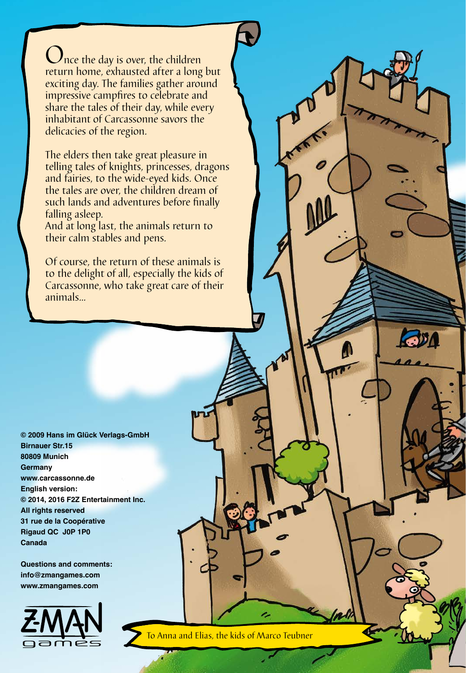Ince the day is over, the children return home, exhausted after a long but exciting day. The families gather around impressive campfires to celebrate and share the tales of their day, while every inhabitant of Carcassonne savors the delicacies of the region.

The elders then take great pleasure in telling tales of knights, princesses, dragons and fairies, to the wide-eyed kids. Once the tales are over, the children dream of such lands and adventures before finally falling asleep.

And at long last, the animals return to their calm stables and pens.

Of course, the return of these animals is to the delight of all, especially the kids of Carcassonne, who take great care of their animals...

**© 2009 Hans im Glück Verlags-GmbH Birnauer Str.15 80809 Munich Germany www.carcassonne.de English version: © 2014, 2016 F2Z Entertainment Inc. All rights reserved 31 rue de la Coopérative Rigaud QC J0P 1P0 Canada**

**Questions and comments: info@zmangames.com www.zmangames.com**



To Anna and Elias, the kids of Marco Teubner

**RODA**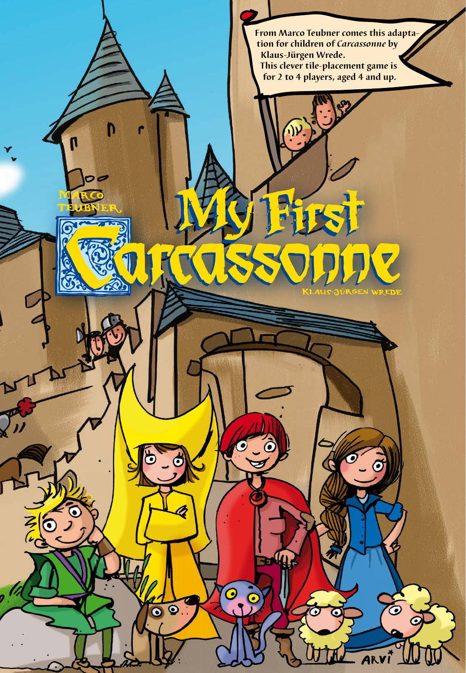**From Marco Teubner comes this adaptation for children of** *Carcassonne* **by Klaus-Jürgen Wrede. This clever tile-placement game is for 2 to 4 players, aged 4 and up.**

O

 $\bullet$ 

Ó

 $\overline{\bullet}$ 

22

٠

 $\bullet$ 

Z

Ó

 $\bar{\bm{\sigma}}$ 

 $\bullet$ 

 $\boldsymbol{\sigma}$ 

 $\bullet$ 

ARVÍ

6

D

 $\overline{\phantom{a}}$ 

N

 $\Omega$ 

 $\bullet$ 

<u>(စ</u>

 $rac{1}{\sqrt{2}}$ 

 $\sqrt{v}$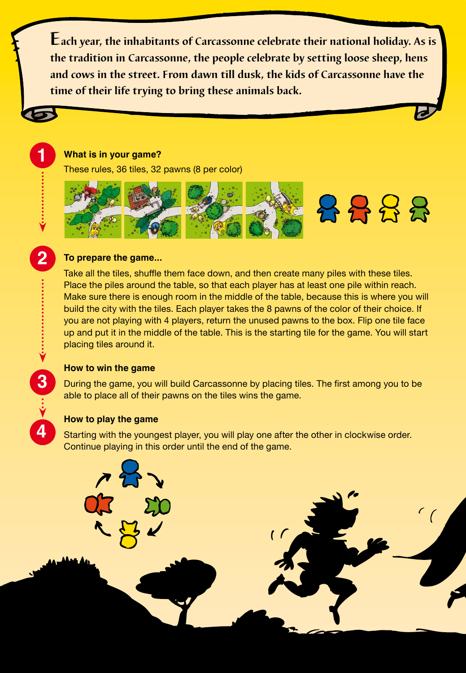**Each year, the inhabitants of Carcassonne celebrate their national holiday. As is the tradition in Carcassonne, the people celebrate by setting loose sheep, hens and cows in the street. From dawn till dusk, the kids of Carcassonne have the time of their life trying to bring these animals back.**

## **What is in your game?**

These rules, 36 tiles, 32 pawns (8 per color)



# **To prepare the game...**

**1234**<br> **1234**<br> **1234** 

4

 $\overline{2}$ 

Take all the tiles, shuffle them face down, and then create many piles with these tiles. Place the piles around the table, so that each player has at least one pile within reach. Make sure there is enough room in the middle of the table, because this is where you will build the city with the tiles. Each player takes the 8 pawns of the color of their choice. If you are not playing with 4 players, return the unused pawns to the box. Flip one tile face up and put it in the middle of the table. This is the starting tile for the game. You will start placing tiles around it.

### **How to win the game**

During the game, you will build Carcassonne by placing tiles. The first among you to be able to place all of their pawns on the tiles wins the game.

## **How to play the game**

Starting with the youngest player, you will play one after the other in clockwise order. Continue playing in this order until the end of the game.